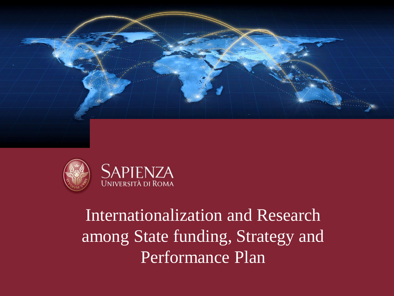



# Internationalization and Research among State funding, Strategy and Performance Plan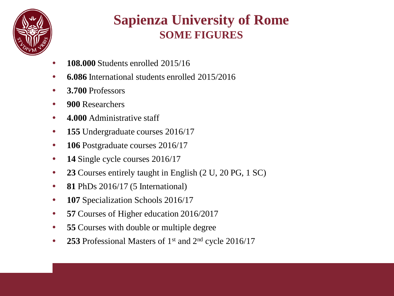

## **Sapienza University of Rome SOME FIGURES**

- **108.000** Students enrolled 2015/16
- **6.086** International students enrolled 2015/2016
- **3.700** Professors
- **900** Researchers
- **4.000** Administrative staff
- **155** Undergraduate courses 2016/17
- **106** Postgraduate courses 2016/17
- **14** Single cycle courses 2016/17
- **23** Courses entirely taught in English (2 U, 20 PG, 1 SC)
- **81** PhDs 2016/17 (5 International)
- **107** Specialization Schools 2016/17
- **57 Courses of Higher education 2016/2017**
- **55 Courses with double or multiple degree**
- **253** Professional Masters of 1<sup>st</sup> and 2<sup>nd</sup> cycle 2016/17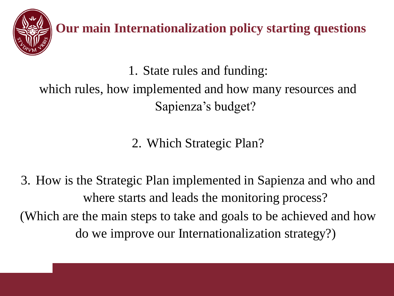

**Our main Internationalization policy starting questions**

1. State rules and funding:

which rules, how implemented and how many resources and Sapienza's budget?

2. Which Strategic Plan?

3. How is the Strategic Plan implemented in Sapienza and who and where starts and leads the monitoring process? (Which are the main steps to take and goals to be achieved and how do we improve our Internationalization strategy?)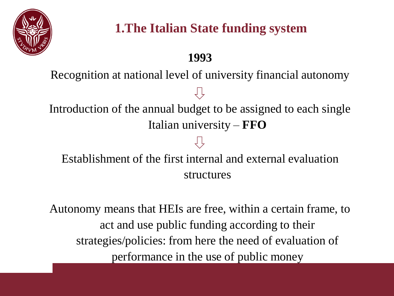

### **1993**

Recognition at national level of university financial autonomy

Introduction of the annual budget to be assigned to each single Italian university – **FFO**

## Establishment of the first internal and external evaluation structures

Autonomy means that HEIs are free, within a certain frame, to act and use public funding according to their strategies/policies: from here the need of evaluation of performance in the use of public money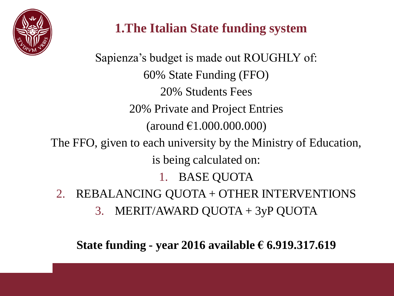

Sapienza's budget is made out ROUGHLY of: 60% State Funding (FFO) 20% Students Fees 20% Private and Project Entries  $(\text{around } \text{\textsterling}1.000.000.000)$ The FFO, given to each university by the Ministry of Education, is being calculated on: 1. BASE QUOTA 2. REBALANCING QUOTA + OTHER INTERVENTIONS 3. MERIT/AWARD QUOTA + 3yP QUOTA

**State funding - year 2016 available € 6.919.317.619**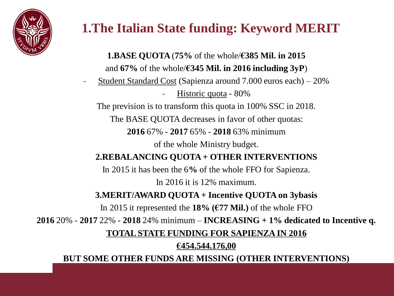

# **1.The Italian State funding: Keyword MERIT**

**1.BASE QUOTA** (**75%** of the whole/**€385 Mil. in 2015** and **67%** of the whole/**€345 Mil. in 2016 including 3yP**)

- Student Standard Cost (Sapienza around 7.000 euros each) – 20%

Historic quota - 80%

The prevision is to transform this quota in 100% SSC in 2018.

The BASE QUOTA decreases in favor of other quotas:

**2016** 67% - **2017** 65% - **2018** 63% minimum

of the whole Ministry budget.

#### **2.REBALANCING QUOTA + OTHER INTERVENTIONS**

In 2015 it has been the 6**%** of the whole FFO for Sapienza. In 2016 it is 12% maximum.

**3.MERIT/AWARD QUOTA + Incentive QUOTA on 3ybasis** 

In 2015 it represented the **18% (€77 Mil.)** of the whole FFO

**2016** 20% - **2017** 22% - **2018** 24% minimum – **INCREASING + 1% dedicated to Incentive q.**

**TOTAL STATE FUNDING FOR SAPIENZA IN 2016**

#### **€454.544.176,00**

**BUT SOME OTHER FUNDS ARE MISSING (OTHER INTERVENTIONS)**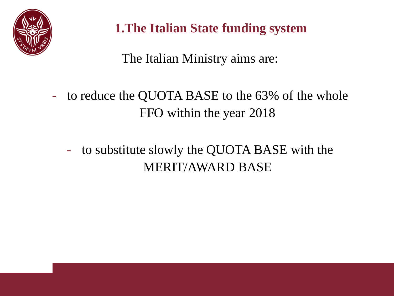

The Italian Ministry aims are:

- to reduce the QUOTA BASE to the 63% of the whole FFO within the year 2018
	- to substitute slowly the QUOTA BASE with the MERIT/AWARD BASE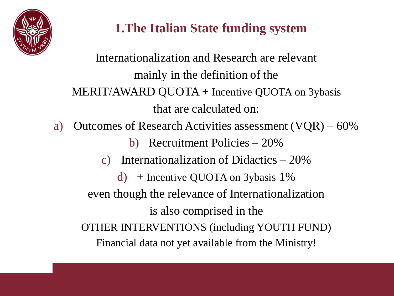

Internationalization and Research are relevant mainly in the definition of the MERIT/AWARD QUOTA + Incentive QUOTA on 3ybasis that are calculated on: a) Outcomes of Research Activities assessment (VQR) – 60% b) Recruitment Policies – 20% c) Internationalization of Didactics – 20% d) + Incentive QUOTA on 3ybasis  $1\%$ even though the relevance of Internationalization is also comprised in the OTHER INTERVENTIONS (including YOUTH FUND) Financial data not yet available from the Ministry!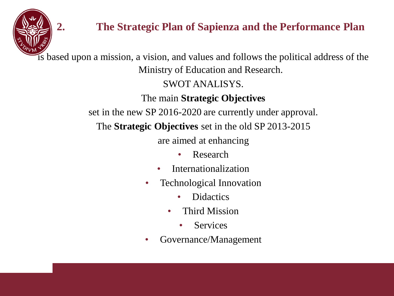

### **2. The Strategic Plan of Sapienza and the Performance Plan**

is based upon a mission, a vision, and values and follows the political address of the Ministry of Education and Research.

SWOT ANALISYS.

The main **Strategic Objectives**

set in the new SP 2016-2020 are currently under approval.

The **Strategic Objectives** set in the old SP 2013-2015

are aimed at enhancing

- Research
- **Internationalization**
- Technological Innovation
	- Didactics
	- Third Mission
		- **Services**
- Governance/Management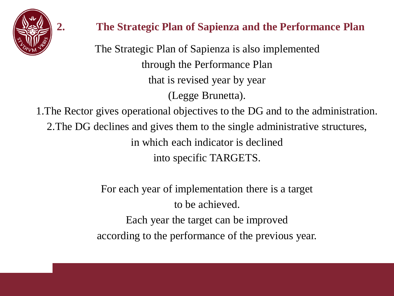

### **2. The Strategic Plan of Sapienza and the Performance Plan**

The Strategic Plan of Sapienza is also implemented through the Performance Plan that is revised year by year (Legge Brunetta).

1.The Rector gives operational objectives to the DG and to the administration. 2.The DG declines and gives them to the single administrative structures, in which each indicator is declined into specific TARGETS.

> For each year of implementation there is a target to be achieved. Each year the target can be improved according to the performance of the previous year.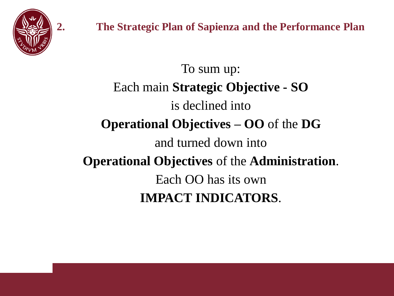

To sum up: Each main **Strategic Objective - SO** is declined into **Operational Objectives – OO** of the **DG** and turned down into **Operational Objectives** of the **Administration**. Each OO has its own **IMPACT INDICATORS**.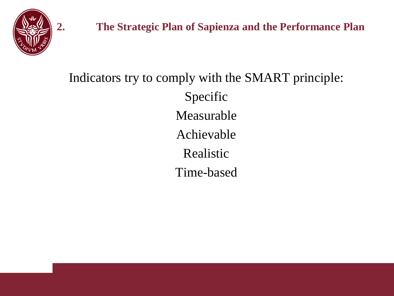

# Indicators try to comply with the SMART principle: Specific Measurable Achievable Realistic Time-based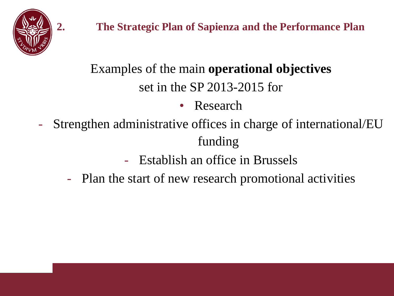

# Examples of the main **operational objectives** set in the SP 2013-2015 for

- Research
- Strengthen administrative offices in charge of international/EU funding
	- Establish an office in Brussels
	- Plan the start of new research promotional activities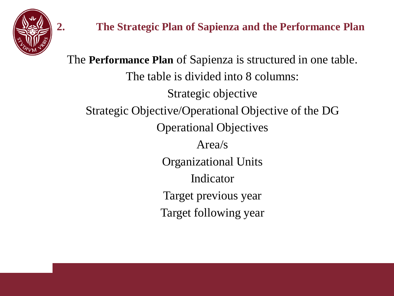

**2. The Strategic Plan of Sapienza and the Performance Plan**

The **Performance Plan** of Sapienza is structured in one table. The table is divided into 8 columns: Strategic objective Strategic Objective/Operational Objective of the DG Operational Objectives Area/s Organizational Units Indicator Target previous year Target following year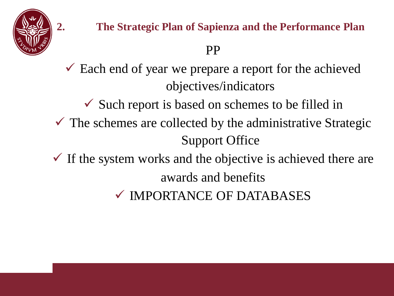

- $\checkmark$  Each end of year we prepare a report for the achieved objectives/indicators
	- $\checkmark$  Such report is based on schemes to be filled in
- $\checkmark$  The schemes are collected by the administrative Strategic Support Office
- $\checkmark$  If the system works and the objective is achieved there are awards and benefits
	- IMPORTANCE OF DATABASES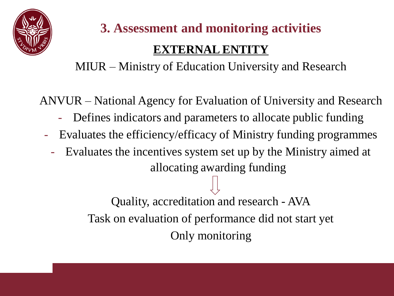

# **3. Assessment and monitoring activities**

## **EXTERNAL ENTITY**

### MIUR – Ministry of Education University and Research

ANVUR – National Agency for Evaluation of University and Research

- Defines indicators and parameters to allocate public funding
- Evaluates the efficiency/efficacy of Ministry funding programmes
	- Evaluates the incentives system set up by the Ministry aimed at allocating awarding funding

Quality, accreditation and research - AVA Task on evaluation of performance did not start yet Only monitoring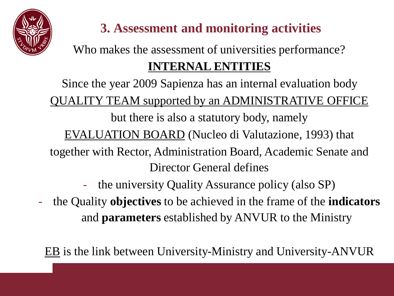

# **3. Assessment and monitoring activities**

# Who makes the assessment of universities performance? **INTERNAL ENTITIES**

Since the year 2009 Sapienza has an internal evaluation body QUALITY TEAM supported by an ADMINISTRATIVE OFFICE but there is also a statutory body, namely EVALUATION BOARD (Nucleo di Valutazione, 1993) that together with Rector, Administration Board, Academic Senate and Director General defines

- the university Quality Assurance policy (also SP)
- the Quality **objectives** to be achieved in the frame of the **indicators** and **parameters** established by ANVUR to the Ministry

EB is the link between University-Ministry and University-ANVUR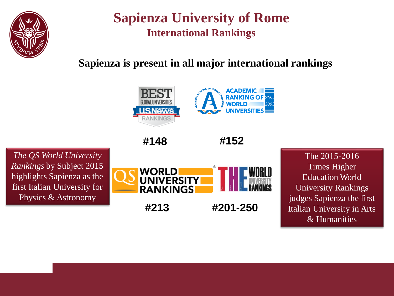

### **Sapienza University of Rome International Rankings**

### **Sapienza is present in all major international rankings**



**#148**



*The QS World University Rankings* by Subject 2015 highlights Sapienza as the first Italian University for Physics & Astronomy



The 2015-2016 Times Higher Education World University Rankings judges Sapienza the first Italian University in Arts & Humanities